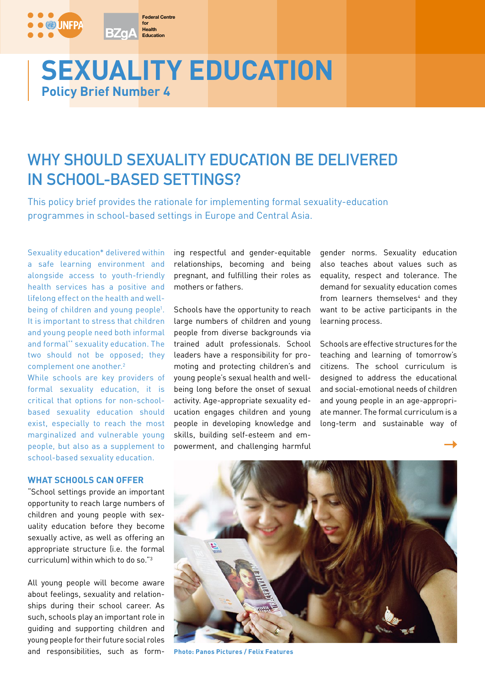# **Policy Brief Number 4 SEXUALITY EDUCATION**

**Federal Centre**

**Health Education for**

**BZaA** 

## **WHY SHOULD SEXUALITY EDUCATION BE DELIVERED IN SCHOOL-BASED SETTINGS?**

This policy brief provides the rationale for implementing formal sexuality-education programmes in school-based settings in Europe and Central Asia.

Sexuality education\* delivered within a safe learning environment and alongside access to youth-friendly health services has a positive and lifelong effect on the health and wellbeing of children and young people<sup>1</sup>. It is important to stress that children and young people need both informal and formal\*\* sexuality education. The two should not be opposed; they complement one another.2

While schools are key providers of formal sexuality education, it is critical that options for non-schoolbased sexuality education should exist, especially to reach the most marginalized and vulnerable young people, but also as a supplement to school-based sexuality education.

#### **WHAT SCHOOLS CAN OFFER**

"School settings provide an important opportunity to reach large numbers of children and young people with sexuality education before they become sexually active, as well as offering an appropriate structure (i.e. the formal curriculum) within which to do so."3

All young people will become aware about feelings, sexuality and relationships during their school career. As such, schools play an important role in guiding and supporting children and young people for their future social roles and responsibilities, such as form-

ing respectful and gender-equitable relationships, becoming and being pregnant, and fulfilling their roles as mothers or fathers.

Schools have the opportunity to reach large numbers of children and young people from diverse backgrounds via trained adult professionals. School leaders have a responsibility for promoting and protecting children's and young people's sexual health and wellbeing long before the onset of sexual activity. Age-appropriate sexuality education engages children and young people in developing knowledge and skills, building self-esteem and empowerment, and challenging harmful

gender norms. Sexuality education also teaches about values such as equality, respect and tolerance. The demand for sexuality education comes from learners themselves<sup>4</sup> and they want to be active participants in the learning process.

Schools are effective structures for the teaching and learning of tomorrow's citizens. The school curriculum is designed to address the educational and social-emotional needs of children and young people in an age-appropriate manner. The formal curriculum is a long-term and sustainable way of



**Photo: Panos Pictures / Felix Features**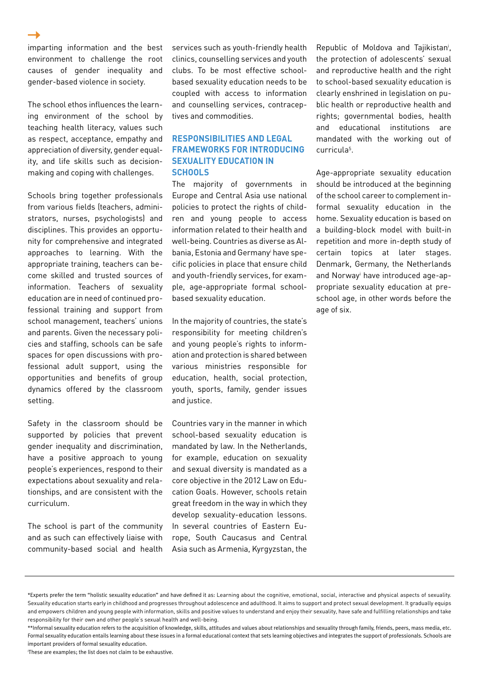imparting information and the best environment to challenge the root causes of gender inequality and gender-based violence in society.

The school ethos influences the learning environment of the school by teaching health literacy, values such as respect, acceptance, empathy and appreciation of diversity, gender equality, and life skills such as decisionmaking and coping with challenges.

Schools bring together professionals from various fields (teachers, administrators, nurses, psychologists) and disciplines. This provides an opportunity for comprehensive and integrated approaches to learning. With the appropriate training, teachers can become skilled and trusted sources of information. Teachers of sexuality education are in need of continued professional training and support from school management, teachers' unions and parents. Given the necessary policies and staffing, schools can be safe spaces for open discussions with professional adult support, using the opportunities and benefits of group dynamics offered by the classroom setting.

Safety in the classroom should be supported by policies that prevent gender inequality and discrimination, have a positive approach to young people's experiences, respond to their expectations about sexuality and relationships, and are consistent with the curriculum.

The school is part of the community and as such can effectively liaise with community-based social and health

services such as youth-friendly health clinics, counselling services and youth clubs. To be most effective schoolbased sexuality education needs to be coupled with access to information and counselling services, contraceptives and commodities.

### **RESPONSIBILITIES AND LEGAL FRAMEWORKS FOR INTRODUCING SEXUALITY EDUCATION IN SCHOOLS**

The majority of governments in Europe and Central Asia use national policies to protect the rights of children and young people to access information related to their health and well-being. Countries as diverse as Albania, Estonia and Germanyi have specific policies in place that ensure child and youth-friendly services, for example, age-appropriate formal schoolbased sexuality education.

In the majority of countries, the state's responsibility for meeting children's and young people's rights to information and protection is shared between various ministries responsible for education, health, social protection, youth, sports, family, gender issues and justice.

Countries vary in the manner in which school-based sexuality education is mandated by law. In the Netherlands, for example, education on sexuality and sexual diversity is mandated as a core objective in the 2012 Law on Education Goals. However, schools retain great freedom in the way in which they develop sexuality-education lessons. In several countries of Eastern Europe, South Caucasus and Central Asia such as Armenia, Kyrgyzstan, the

Republic of Moldova and Tajikistani , the protection of adolescents' sexual and reproductive health and the right to school-based sexuality education is clearly enshrined in legislation on public health or reproductive health and rights; governmental bodies, health and educational institutions are mandated with the working out of curricula5 .

Age-appropriate sexuality education should be introduced at the beginning of the school career to complement informal sexuality education in the home. Sexuality education is based on a building-block model with built-in repetition and more in-depth study of certain topics at later stages. Denmark, Germany, the Netherlands and Norwayi have introduced age-appropriate sexuality education at preschool age, in other words before the age of six.

i These are examples; the list does not claim to be exhaustive.

<sup>\*</sup>Experts prefer the term "holistic sexuality education" and have defined it as: Learning about the cognitive, emotional, social, interactive and physical aspects of sexuality. Sexuality education starts early in childhood and progresses throughout adolescence and adulthood. It aims to support and protect sexual development. It gradually equips and empowers children and young people with information, skills and positive values to understand and enjoy their sexuality, have safe and fulfilling relationships and take responsibility for their own and other people's sexual health and well-being.

<sup>\*\*</sup>Informal sexuality education refers to the acquisition of knowledge, skills, attitudes and values about relationships and sexuality through family, friends, peers, mass media, etc. Formal sexuality education entails learning about these issues in a formal educational context that sets learning objectives and integrates the support of professionals. Schools are important providers of formal sexuality education.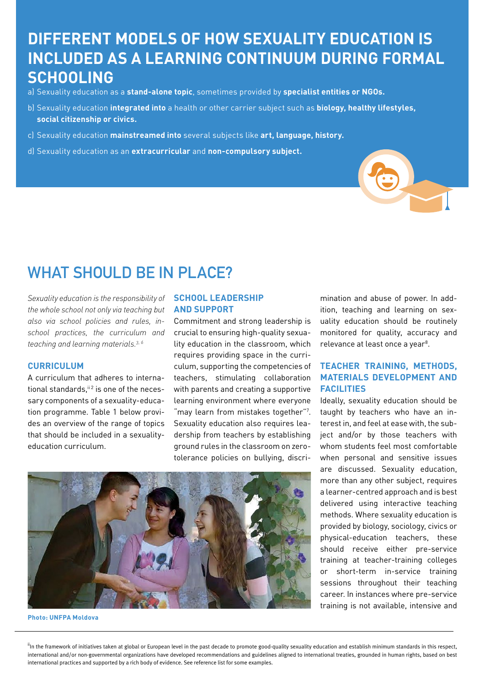## **DIFFERENT MODELS OF HOW SEXUALITY EDUCATION IS INCLUDED AS A LEARNING CONTINUUM DURING FORMAL SCHOOLING**

- a) Sexuality education as a **stand-alone topic**, sometimes provided by **specialist entities or NGOs.**
- b) Sexuality education **integrated into** a health or other carrier subject such as **biology, healthy lifestyles, social citizenship or civics.**
- c) Sexuality education **mainstreamed into** several subjects like **art, language, history.**
- d) Sexuality education as an **extracurricular** and **non-compulsory subject.**

## WHAT SHOULD BE IN PLACE?

*Sexuality education is the responsibility of the whole school not only via teaching but also via school policies and rules, inschool practices, the curriculum and teaching and learning materials.3, 6*

#### **CURRICULUM**

A curriculum that adheres to international standards. $i$ <sup>12</sup> is one of the necessary components of a sexuality-education programme. Table 1 below provides an overview of the range of topics that should be included in a sexualityeducation curriculum.

#### **SCHOOL LEADERSHIP AND SUPPORT**

Commitment and strong leadership is crucial to ensuring high-quality sexuality education in the classroom, which requires providing space in the curriculum, supporting the competencies of teachers, stimulating collaboration with parents and creating a supportive learning environment where everyone "may learn from mistakes together"?. Sexuality education also requires leadership from teachers by establishing ground rules in the classroom on zerotolerance policies on bullying, discri-



#### **Photo: UNFPA Moldova**

mination and abuse of power. In addition, teaching and learning on sexuality education should be routinely monitored for quality, accuracy and relevance at least once a year<sup>8</sup>.

### **TEACHER TRAINING, METHODS, MATERIALS DEVELOPMENT AND FACILITIES**

Ideally, sexuality education should be taught by teachers who have an interest in, and feel at ease with, the subject and/or by those teachers with whom students feel most comfortable when personal and sensitive issues are discussed. Sexuality education, more than any other subject, requires a learner-centred approach and is best delivered using interactive teaching methods. Where sexuality education is provided by biology, sociology, civics or physical-education teachers, these should receive either pre-service training at teacher-training colleges or short-term in-service training sessions throughout their teaching career. In instances where pre-service training is not available, intensive and

<sup>ii</sup>In the framework of initiatives taken at global or European level in the past decade to promote good-quality sexuality education and establish minimum standards in this respect, international and/or non-governmental organizations have developed recommendations and guidelines aligned to international treaties, grounded in human rights, based on best international practices and supported by a rich body of evidence. See reference list for some examples.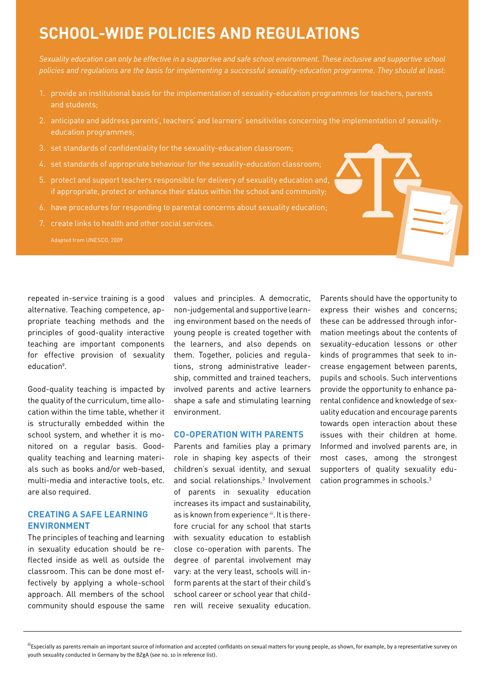## **SCHOOL-WIDE POLICIES AND REGULATIONS**

*Sexuality education can only be effective in a supportive and safe school environment. These inclusive and supportive school policies and regulations are the basis for implementing a successful sexuality-education programme. They should at least:*

- 1. provide an institutional basis for the implementation of sexuality-education programmes for teachers, parents and students;
- 2. anticipate and address parents', teachers' and learners' sensitivities concerning the implementation of sexualityeducation programmes;
- 3. set standards of confidentiality for the sexuality-education classroom;
- 4. set standards of appropriate behaviour for the sexuality-education classroom;
- 5. protect and support teachers responsible for delivery of sexuality education and, if appropriate, protect or enhance their status within the school and community;
- 6. have procedures for responding to parental concerns about sexuality education;
- 7. create links to health and other social services.

Adapted from UNESCO, 2009

repeated in-service training is a good alternative. Teaching competence, appropriate teaching methods and the principles of good-quality interactive teaching are important components for effective provision of sexuality education<sup>9</sup>.

Good-quality teaching is impacted by the quality of the curriculum, time allocation within the time table, whether it is structurally embedded within the school system, and whether it is monitored on a regular basis. Goodquality teaching and learning materials such as books and/or web-based, multi-media and interactive tools, etc. are also required.

### **CREATING A SAFE LEARNING ENVIRONMENT**

The principles of teaching and learning in sexuality education should be reflected inside as well as outside the classroom. This can be done most effectively by applying a whole-school approach. All members of the school community should espouse the same

values and principles. A democratic, non-judgemental and supportive learning environment based on the needs of young people is created together with the learners, and also depends on them. Together, policies and regulations, strong administrative leadership, committed and trained teachers, involved parents and active learners shape a safe and stimulating learning environment.

#### **CO-OPERATION WITH PARENTS**

Parents and families play a primary role in shaping key aspects of their children's sexual identity, and sexual and social relationships.<sup>3</sup> Involvement of parents in sexuality education increases its impact and sustainability, as is known from experience  $iii$ . It is therefore crucial for any school that starts with sexuality education to establish close co-operation with parents. The degree of parental involvement may vary: at the very least, schools will inform parents at the start of their child's school career or school year that children will receive sexuality education.

Parents should have the opportunity to express their wishes and concerns; these can be addressed through information meetings about the contents of sexuality-education lessons or other kinds of programmes that seek to increase engagement between parents, pupils and schools. Such interventions provide the opportunity to enhance parental confidence and knowledge of sexuality education and encourage parents towards open interaction about these issues with their children at home. Informed and involved parents are, in most cases, among the strongest supporters of quality sexuality education programmes in schools.3

<sup>iii</sup>Especially as parents remain an important source of information and accepted confidants on sexual matters for young people, as shown, for example, by a representative survey on youth sexuality conducted in Germany by the BZgA (see no. 10 in reference list).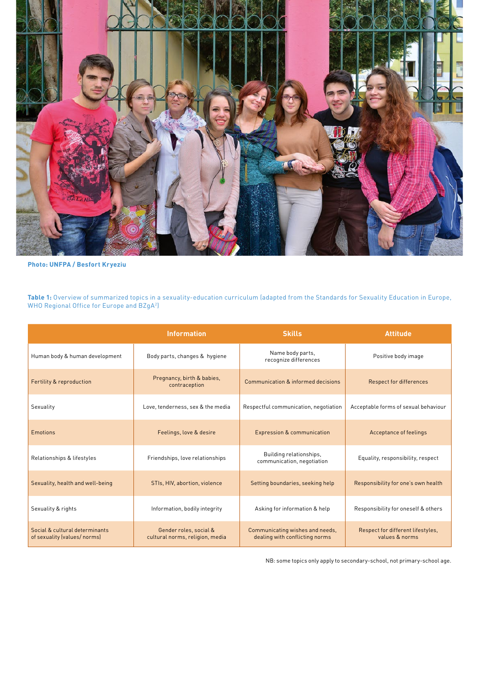

```
Photo: UNFPA / Besfort Kryeziu
```
**Table 1:** Overview of summarized topics in a sexuality-education curriculum (adapted from the Standards for Sexuality Education in Europe, WHO Regional Office for Europe and BZgA<sup>2</sup>)

|                                                                | <b>Information</b>                                        | <b>Skills</b>                                                     | <b>Attitude</b>                                     |
|----------------------------------------------------------------|-----------------------------------------------------------|-------------------------------------------------------------------|-----------------------------------------------------|
| Human body & human development                                 | Body parts, changes & hygiene                             | Name body parts,<br>recognize differences                         | Positive body image                                 |
| Fertility & reproduction                                       | Pregnancy, birth & babies,<br>contraception               | Communication & informed decisions                                | <b>Respect for differences</b>                      |
| Sexuality                                                      | Love, tenderness, sex & the media                         | Respectful communication, negotiation                             | Acceptable forms of sexual behaviour                |
| <b>Emotions</b>                                                | Feelings, love & desire                                   | <b>Expression &amp; communication</b>                             | Acceptance of feelings                              |
| Relationships & lifestyles                                     | Friendships, love relationships                           | Building relationships.<br>communication, negotiation             | Equality, responsibility, respect                   |
| Sexuality, health and well-being                               | STIs, HIV, abortion, violence                             | Setting boundaries, seeking help                                  | Responsibility for one's own health                 |
| Sexuality & rights                                             | Information, bodily integrity                             | Asking for information & help                                     | Responsibility for oneself & others                 |
| Social & cultural determinants<br>of sexuality (values/ norms) | Gender roles, social &<br>cultural norms, religion, media | Communicating wishes and needs,<br>dealing with conflicting norms | Respect for different lifestyles,<br>values & norms |

NB: some topics only apply to secondary-school, not primary-school age.